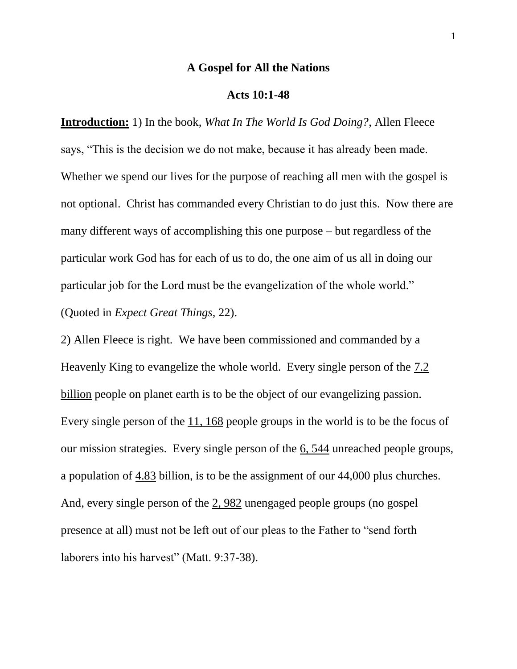#### **A Gospel for All the Nations**

#### **Acts 10:1-48**

**Introduction:** 1) In the book, *What In The World Is God Doing?*, Allen Fleece says, "This is the decision we do not make, because it has already been made. Whether we spend our lives for the purpose of reaching all men with the gospel is not optional. Christ has commanded every Christian to do just this. Now there are many different ways of accomplishing this one purpose – but regardless of the particular work God has for each of us to do, the one aim of us all in doing our particular job for the Lord must be the evangelization of the whole world." (Quoted in *Expect Great Things*, 22).

2) Allen Fleece is right. We have been commissioned and commanded by a Heavenly King to evangelize the whole world. Every single person of the 7.2 billion people on planet earth is to be the object of our evangelizing passion. Every single person of the 11, 168 people groups in the world is to be the focus of our mission strategies. Every single person of the 6, 544 unreached people groups, a population of 4.83 billion, is to be the assignment of our 44,000 plus churches. And, every single person of the 2, 982 unengaged people groups (no gospel presence at all) must not be left out of our pleas to the Father to "send forth laborers into his harvest" (Matt. 9:37-38).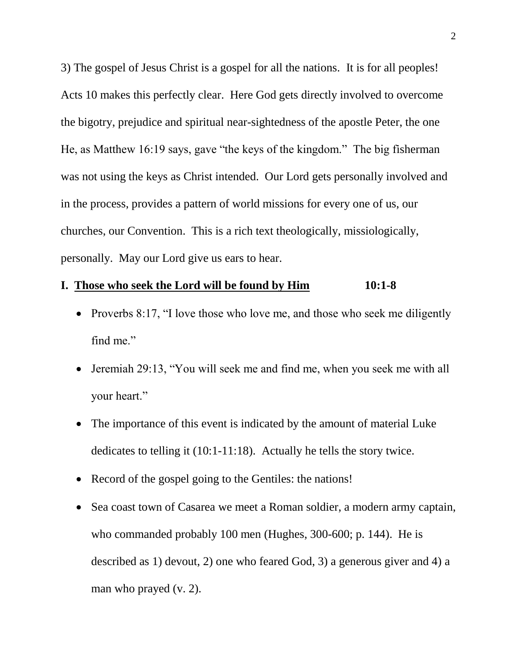3) The gospel of Jesus Christ is a gospel for all the nations. It is for all peoples! Acts 10 makes this perfectly clear. Here God gets directly involved to overcome the bigotry, prejudice and spiritual near-sightedness of the apostle Peter, the one He, as Matthew 16:19 says, gave "the keys of the kingdom." The big fisherman was not using the keys as Christ intended. Our Lord gets personally involved and in the process, provides a pattern of world missions for every one of us, our churches, our Convention. This is a rich text theologically, missiologically, personally. May our Lord give us ears to hear.

### **I. Those who seek the Lord will be found by Him 10:1-8**

- Proverbs 8:17, "I love those who love me, and those who seek me diligently find me."
- Jeremiah 29:13, "You will seek me and find me, when you seek me with all your heart."
- The importance of this event is indicated by the amount of material Luke dedicates to telling it (10:1-11:18). Actually he tells the story twice.
- Record of the gospel going to the Gentiles: the nations!
- Sea coast town of Casarea we meet a Roman soldier, a modern army captain, who commanded probably 100 men (Hughes, 300-600; p. 144). He is described as 1) devout, 2) one who feared God, 3) a generous giver and 4) a man who prayed (v. 2).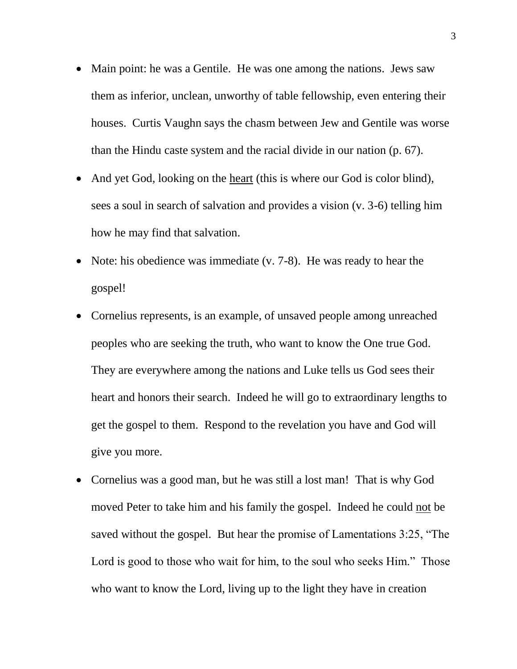- Main point: he was a Gentile. He was one among the nations. Jews saw them as inferior, unclean, unworthy of table fellowship, even entering their houses. Curtis Vaughn says the chasm between Jew and Gentile was worse than the Hindu caste system and the racial divide in our nation (p. 67).
- And yet God, looking on the heart (this is where our God is color blind), sees a soul in search of salvation and provides a vision (v. 3-6) telling him how he may find that salvation.
- Note: his obedience was immediate (v. 7-8). He was ready to hear the gospel!
- Cornelius represents, is an example, of unsaved people among unreached peoples who are seeking the truth, who want to know the One true God. They are everywhere among the nations and Luke tells us God sees their heart and honors their search. Indeed he will go to extraordinary lengths to get the gospel to them. Respond to the revelation you have and God will give you more.
- Cornelius was a good man, but he was still a lost man! That is why God moved Peter to take him and his family the gospel. Indeed he could not be saved without the gospel. But hear the promise of Lamentations 3:25, "The Lord is good to those who wait for him, to the soul who seeks Him." Those who want to know the Lord, living up to the light they have in creation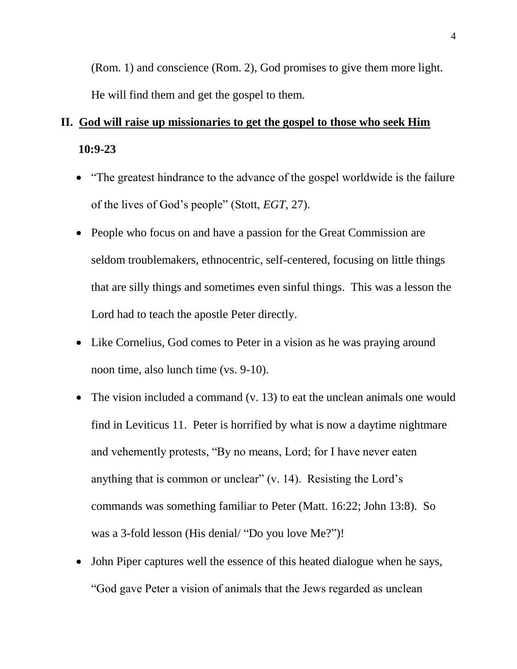(Rom. 1) and conscience (Rom. 2), God promises to give them more light. He will find them and get the gospel to them.

## **II. God will raise up missionaries to get the gospel to those who seek Him 10:9-23**

- "The greatest hindrance to the advance of the gospel worldwide is the failure of the lives of God's people" (Stott, *EGT*, 27).
- People who focus on and have a passion for the Great Commission are seldom troublemakers, ethnocentric, self-centered, focusing on little things that are silly things and sometimes even sinful things. This was a lesson the Lord had to teach the apostle Peter directly.
- Like Cornelius, God comes to Peter in a vision as he was praying around noon time, also lunch time (vs. 9-10).
- The vision included a command (v. 13) to eat the unclean animals one would find in Leviticus 11. Peter is horrified by what is now a daytime nightmare and vehemently protests, "By no means, Lord; for I have never eaten anything that is common or unclear" (v. 14). Resisting the Lord's commands was something familiar to Peter (Matt. 16:22; John 13:8). So was a 3-fold lesson (His denial/ "Do you love Me?")!
- John Piper captures well the essence of this heated dialogue when he says, "God gave Peter a vision of animals that the Jews regarded as unclean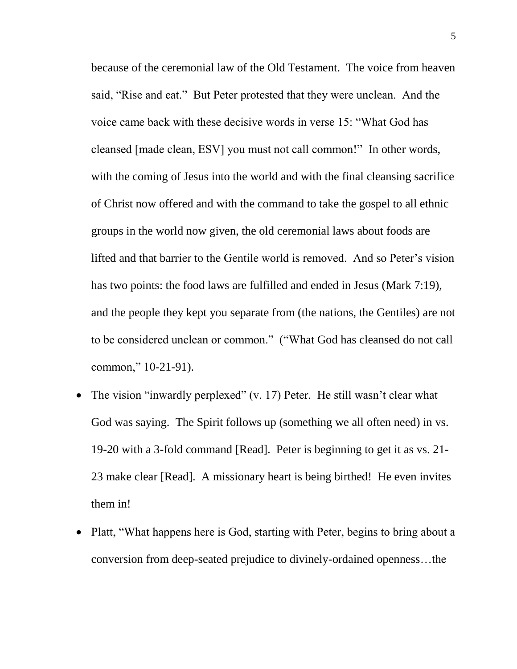because of the ceremonial law of the Old Testament. The voice from heaven said, "Rise and eat." But Peter protested that they were unclean. And the voice came back with these decisive words in verse 15: "What God has cleansed [made clean, ESV] you must not call common!" In other words, with the coming of Jesus into the world and with the final cleansing sacrifice of Christ now offered and with the command to take the gospel to all ethnic groups in the world now given, the old ceremonial laws about foods are lifted and that barrier to the Gentile world is removed. And so Peter's vision has two points: the food laws are fulfilled and ended in Jesus (Mark 7:19), and the people they kept you separate from (the nations, the Gentiles) are not to be considered unclean or common." ("What God has cleansed do not call common," 10-21-91).

- The vision "inwardly perplexed" (v. 17) Peter. He still wasn't clear what God was saying. The Spirit follows up (something we all often need) in vs. 19-20 with a 3-fold command [Read]. Peter is beginning to get it as vs. 21- 23 make clear [Read]. A missionary heart is being birthed! He even invites them in!
- Platt, "What happens here is God, starting with Peter, begins to bring about a conversion from deep-seated prejudice to divinely-ordained openness…the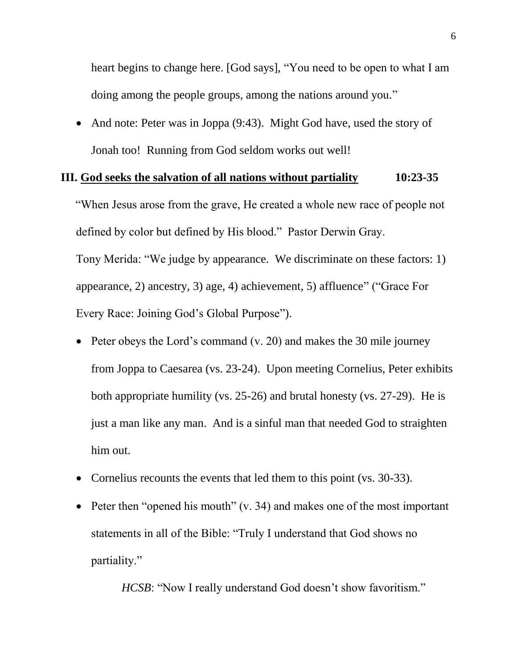heart begins to change here. [God says], "You need to be open to what I am doing among the people groups, among the nations around you."

• And note: Peter was in Joppa (9:43). Might God have, used the story of Jonah too! Running from God seldom works out well!

### **III. God seeks the salvation of all nations without partiality 10:23-35**

 "When Jesus arose from the grave, He created a whole new race of people not defined by color but defined by His blood." Pastor Derwin Gray. Tony Merida: "We judge by appearance. We discriminate on these factors: 1) appearance, 2) ancestry, 3) age, 4) achievement, 5) affluence" ("Grace For Every Race: Joining God's Global Purpose").

- Peter obeys the Lord's command  $(v. 20)$  and makes the 30 mile journey from Joppa to Caesarea (vs. 23-24). Upon meeting Cornelius, Peter exhibits both appropriate humility (vs. 25-26) and brutal honesty (vs. 27-29). He is just a man like any man. And is a sinful man that needed God to straighten him out.
- Cornelius recounts the events that led them to this point (vs. 30-33).
- Peter then "opened his mouth"  $(v, 34)$  and makes one of the most important statements in all of the Bible: "Truly I understand that God shows no partiality."

*HCSB*: "Now I really understand God doesn't show favoritism."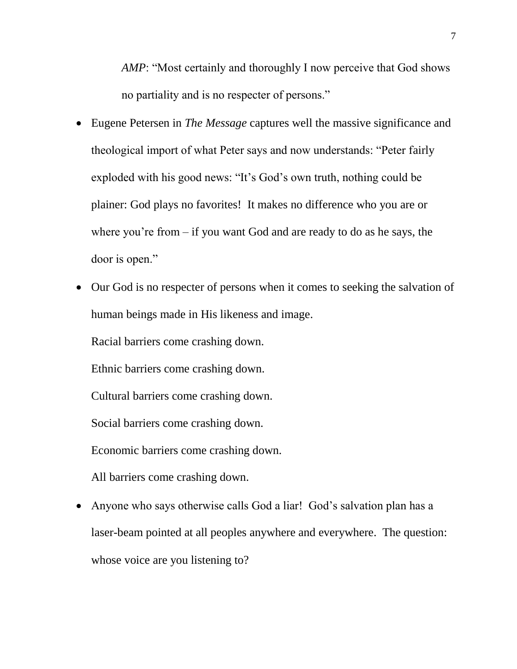*AMP*: "Most certainly and thoroughly I now perceive that God shows no partiality and is no respecter of persons."

- Eugene Petersen in *The Message* captures well the massive significance and theological import of what Peter says and now understands: "Peter fairly exploded with his good news: "It's God's own truth, nothing could be plainer: God plays no favorites! It makes no difference who you are or where you're from  $-$  if you want God and are ready to do as he says, the door is open."
- Our God is no respecter of persons when it comes to seeking the salvation of human beings made in His likeness and image.

Racial barriers come crashing down.

Ethnic barriers come crashing down.

Cultural barriers come crashing down.

Social barriers come crashing down.

Economic barriers come crashing down.

All barriers come crashing down.

• Anyone who says otherwise calls God a liar! God's salvation plan has a laser-beam pointed at all peoples anywhere and everywhere. The question: whose voice are you listening to?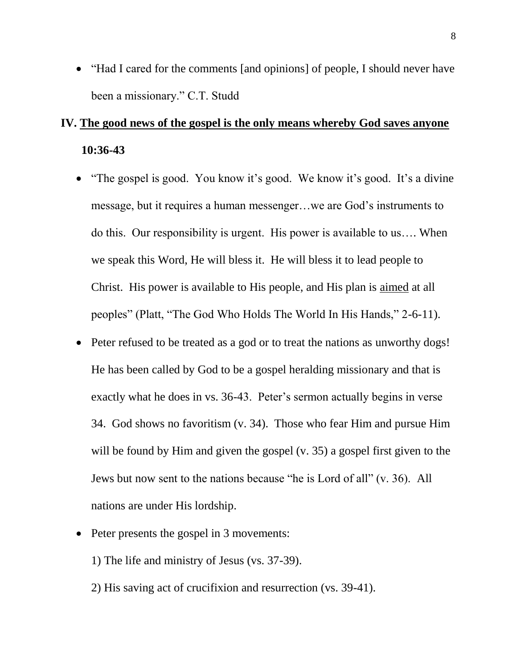• "Had I cared for the comments [and opinions] of people, I should never have been a missionary." C.T. Studd

## **IV. The good news of the gospel is the only means whereby God saves anyone 10:36-43**

- "The gospel is good. You know it's good. We know it's good. It's a divine message, but it requires a human messenger…we are God's instruments to do this. Our responsibility is urgent. His power is available to us…. When we speak this Word, He will bless it. He will bless it to lead people to Christ. His power is available to His people, and His plan is aimed at all peoples" (Platt, "The God Who Holds The World In His Hands," 2-6-11).
- Peter refused to be treated as a god or to treat the nations as unworthy dogs! He has been called by God to be a gospel heralding missionary and that is exactly what he does in vs. 36-43. Peter's sermon actually begins in verse 34. God shows no favoritism (v. 34). Those who fear Him and pursue Him will be found by Him and given the gospel (v. 35) a gospel first given to the Jews but now sent to the nations because "he is Lord of all" (v. 36). All nations are under His lordship.
- Peter presents the gospel in 3 movements:

1) The life and ministry of Jesus (vs. 37-39).

2) His saving act of crucifixion and resurrection (vs. 39-41).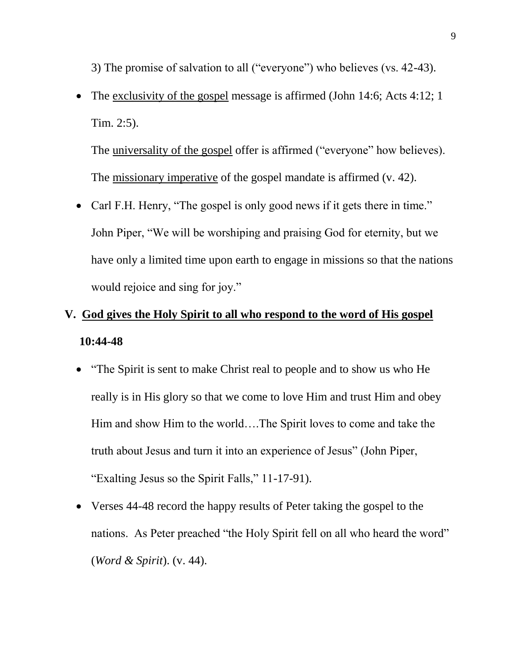3) The promise of salvation to all ("everyone") who believes (vs. 42-43).

• The exclusivity of the gospel message is affirmed (John 14:6; Acts 4:12; 1) Tim. 2:5).

The universality of the gospel offer is affirmed ("everyone" how believes). The missionary imperative of the gospel mandate is affirmed (v. 42).

• Carl F.H. Henry, "The gospel is only good news if it gets there in time." John Piper, "We will be worshiping and praising God for eternity, but we have only a limited time upon earth to engage in missions so that the nations would rejoice and sing for joy."

# **V. God gives the Holy Spirit to all who respond to the word of His gospel 10:44-48**

- "The Spirit is sent to make Christ real to people and to show us who He really is in His glory so that we come to love Him and trust Him and obey Him and show Him to the world….The Spirit loves to come and take the truth about Jesus and turn it into an experience of Jesus" (John Piper, "Exalting Jesus so the Spirit Falls," 11-17-91).
- Verses 44-48 record the happy results of Peter taking the gospel to the nations. As Peter preached "the Holy Spirit fell on all who heard the word" (*Word & Spirit*). (v. 44).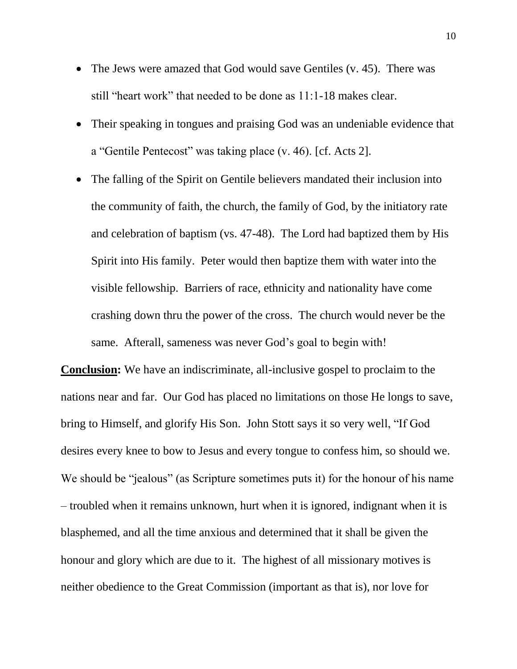- The Jews were amazed that God would save Gentiles (v. 45). There was still "heart work" that needed to be done as 11:1-18 makes clear.
- Their speaking in tongues and praising God was an undeniable evidence that a "Gentile Pentecost" was taking place (v. 46). [cf. Acts 2].
- The falling of the Spirit on Gentile believers mandated their inclusion into the community of faith, the church, the family of God, by the initiatory rate and celebration of baptism (vs. 47-48). The Lord had baptized them by His Spirit into His family. Peter would then baptize them with water into the visible fellowship. Barriers of race, ethnicity and nationality have come crashing down thru the power of the cross. The church would never be the same. Afterall, sameness was never God's goal to begin with!

**Conclusion:** We have an indiscriminate, all-inclusive gospel to proclaim to the nations near and far. Our God has placed no limitations on those He longs to save, bring to Himself, and glorify His Son. John Stott says it so very well, "If God desires every knee to bow to Jesus and every tongue to confess him, so should we. We should be "jealous" (as Scripture sometimes puts it) for the honour of his name – troubled when it remains unknown, hurt when it is ignored, indignant when it is blasphemed, and all the time anxious and determined that it shall be given the honour and glory which are due to it. The highest of all missionary motives is neither obedience to the Great Commission (important as that is), nor love for